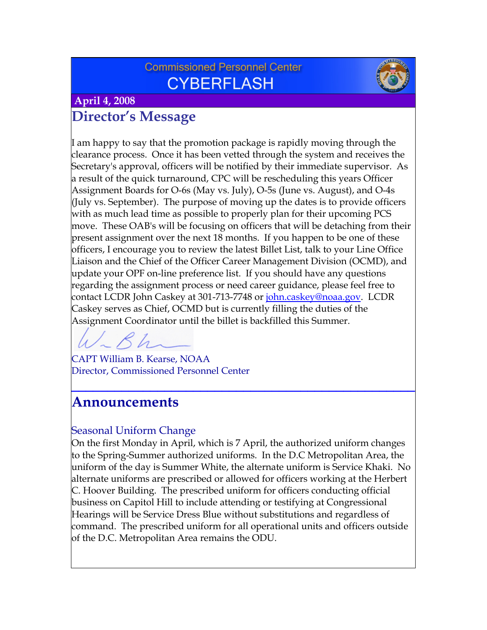## **Commissioned Personnel Center CYBERFLASH**



 **April 4, 2008**

# **Director's Message**

I am happy to say that the promotion package is rapidly moving through the clearance process. Once it has been vetted through the system and receives the Secretary's approval, officers will be notified by their immediate supervisor. As a result of the quick turnaround, CPC will be rescheduling this years Officer Assignment Boards for O-6s (May vs. July), O-5s (June vs. August), and O-4s (July vs. September). The purpose of moving up the dates is to provide officers with as much lead time as possible to properly plan for their upcoming PCS move. These OAB's will be focusing on officers that will be detaching from their present assignment over the next 18 months. If you happen to be one of these officers, I encourage you to review the latest Billet List, talk to your Line Office Liaison and the Chief of the Officer Career Management Division (OCMD), and update your OPF on-line preference list. If you should have any questions regarding the assignment process or need career guidance, please feel free to contact LCDR John Caskey at 301-713-7748 or [john.caskey@noaa.gov.](mailto:john.caskey@noaa.gov) LCDR Caskey serves as Chief, OCMD but is currently filling the duties of the Assignment Coordinator until the billet is backfilled this Summer.

CAPT William B. Kearse, NOAA Director, Commissioned Personnel Center

# **Announcements**

## Seasonal Uniform Change

On the first Monday in April, which is 7 April, the authorized uniform changes to the Spring-Summer authorized uniforms. In the D.C Metropolitan Area, the uniform of the day is Summer White, the alternate uniform is Service Khaki. No alternate uniforms are prescribed or allowed for officers working at the Herbert C. Hoover Building. The prescribed uniform for officers conducting official business on Capitol Hill to include attending or testifying at Congressional Hearings will be Service Dress Blue without substitutions and regardless of command. The prescribed uniform for all operational units and officers outside of the D.C. Metropolitan Area remains the ODU.

**\_\_\_\_\_\_\_\_\_\_\_\_\_\_\_\_\_\_\_\_\_\_\_\_\_\_\_\_\_\_\_\_\_\_\_\_\_\_\_\_\_\_\_\_\_\_\_\_**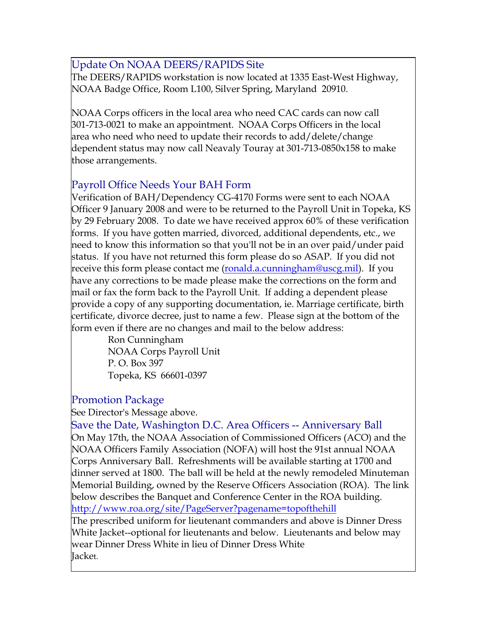### Update On NOAA DEERS/RAPIDS Site

The DEERS/RAPIDS workstation is now located at 1335 East-West Highway, NOAA Badge Office, Room L100, Silver Spring, Maryland 20910.

NOAA Corps officers in the local area who need CAC cards can now call 301-713-0021 to make an appointment. NOAA Corps Officers in the local area who need who need to update their records to add/delete/change dependent status may now call Neavaly Touray at 301-713-0850x158 to make those arrangements.

#### Payroll Office Needs Your BAH Form

Verification of BAH/Dependency CG-4170 Forms were sent to each NOAA Officer 9 January 2008 and were to be returned to the Payroll Unit in Topeka, KS by 29 February 2008. To date we have received approx 60% of these verification forms. If you have gotten married, divorced, additional dependents, etc., we need to know this information so that you'll not be in an over paid/under paid status. If you have not returned this form please do so ASAP. If you did not receive this form please contact me (<u>ronald.a.cunningham@uscg.mil</u>). If you have any corrections to be made please make the corrections on the form and mail or fax the form back to the Payroll Unit. If adding a dependent please provide a copy of any supporting documentation, ie. Marriage certificate, birth certificate, divorce decree, just to name a few. Please sign at the bottom of the form even if there are no changes and mail to the below address:

> Ron Cunningham NOAA Corps Payroll Unit P. O. Box 397 Topeka, KS 66601-0397

#### Promotion Package

See Director's Message above.

Save the Date, Washington D.C. Area Officers -- Anniversary Ball On May 17th, the NOAA Association of Commissioned Officers (ACO) and the NOAA Officers Family Association (NOFA) will host the 91st annual NOAA Corps Anniversary Ball. Refreshments will be available starting at 1700 and dinner served at 1800. The ball will be held at the newly remodeled Minuteman Memorial Building, owned by the Reserve Officers Association (ROA). The link below describes the Banquet and Conference Center in the ROA building. <http://www.roa.org/site/PageServer?pagename=topofthehill>

The prescribed uniform for lieutenant commanders and above is Dinner Dress White Jacket--optional for lieutenants and below. Lieutenants and below may wear Dinner Dress White in lieu of Dinner Dress White Jacket.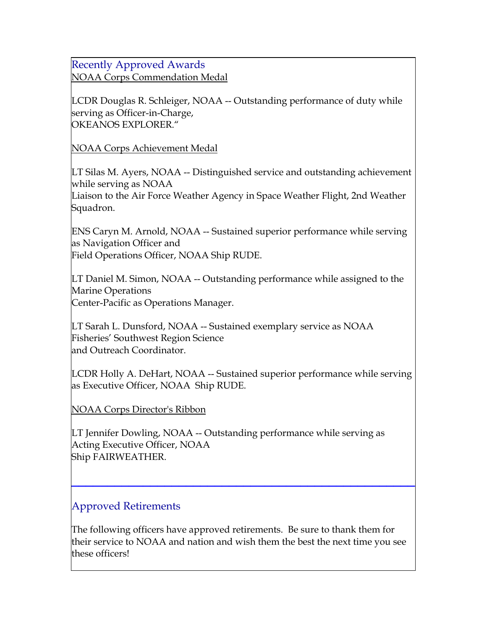#### Recently Approved Awards

NOAA Corps Commendation Medal

LCDR Douglas R. Schleiger, NOAA -- Outstanding performance of duty while serving as Officer-in-Charge, OKEANOS EXPLORER."

NOAA Corps Achievement Medal

LT Silas M. Ayers, NOAA -- Distinguished service and outstanding achievement while serving as NOAA

Liaison to the Air Force Weather Agency in Space Weather Flight, 2nd Weather Squadron.

ENS Caryn M. Arnold, NOAA -- Sustained superior performance while serving as Navigation Officer and Field Operations Officer, NOAA Ship RUDE.

LT Daniel M. Simon, NOAA -- Outstanding performance while assigned to the Marine Operations Center-Pacific as Operations Manager.

LT Sarah L. Dunsford, NOAA -- Sustained exemplary service as NOAA Fisheries' Southwest Region Science and Outreach Coordinator.

LCDR Holly A. DeHart, NOAA -- Sustained superior performance while serving as Executive Officer, NOAA Ship RUDE.

NOAA Corps Director's Ribbon

LT Jennifer Dowling, NOAA -- Outstanding performance while serving as Acting Executive Officer, NOAA Ship FAIRWEATHER.

## Approved Retirements

The following officers have approved retirements. Be sure to thank them for their service to NOAA and nation and wish them the best the next time you see these officers!

**\_\_\_\_\_\_\_\_\_\_\_\_\_\_\_\_\_\_\_\_\_\_\_\_\_\_\_\_\_\_\_\_\_\_\_\_\_\_\_\_\_\_\_\_\_\_\_\_**